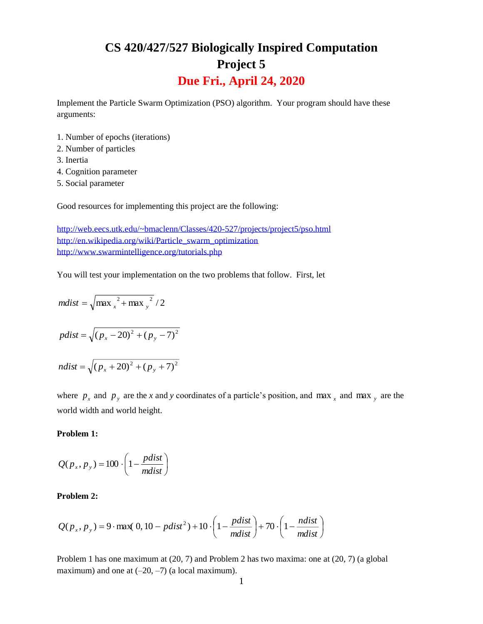# **CS 420/427/527 Biologically Inspired Computation Project 5 Due Fri., April 24, 2020**

Implement the Particle Swarm Optimization (PSO) algorithm. Your program should have these arguments:

- 1. Number of epochs (iterations)
- 2. Number of particles
- 3. Inertia
- 4. Cognition parameter
- 5. Social parameter

Good resources for implementing this project are the following:

<http://web.eecs.utk.edu/~bmaclenn/Classes/420-527/projects/project5/pso.html> [http://en.wikipedia.org/wiki/Particle\\_swarm\\_optimization](http://en.wikipedia.org/wiki/Particle_swarm_optimization) <http://www.swarmintelligence.org/tutorials.php>

You will test your implementation on the two problems that follow. First, let

$$
mdist = \sqrt{\max_x^2 + \max_y^2}/2
$$
  

$$
pdist = \sqrt{(p_x - 20)^2 + (p_y - 7)^2}
$$
  

$$
ndist = \sqrt{(p_x + 20)^2 + (p_y + 7)^2}
$$

where  $p_x$  and  $p_y$  are the *x* and *y* coordinates of a particle's position, and max  $\frac{1}{x}$  and max  $\frac{1}{y}$  are the world width and world height.

## **Problem 1:**

$$
Q(p_x, p_y) = 100 \cdot \left(1 - \frac{pdist}{mdist}\right)
$$

#### **Problem 2:**

$$
Q(p_x, p_y) = 9 \cdot \max(0, 10 - \text{pdist}^2) + 10 \cdot \left(1 - \frac{\text{pdist}}{\text{mdist}}\right) + 70 \cdot \left(1 - \frac{\text{ndist}}{\text{mdist}}\right)
$$

Problem 1 has one maximum at (20, 7) and Problem 2 has two maxima: one at (20, 7) (a global maximum) and one at  $(-20, -7)$  (a local maximum).